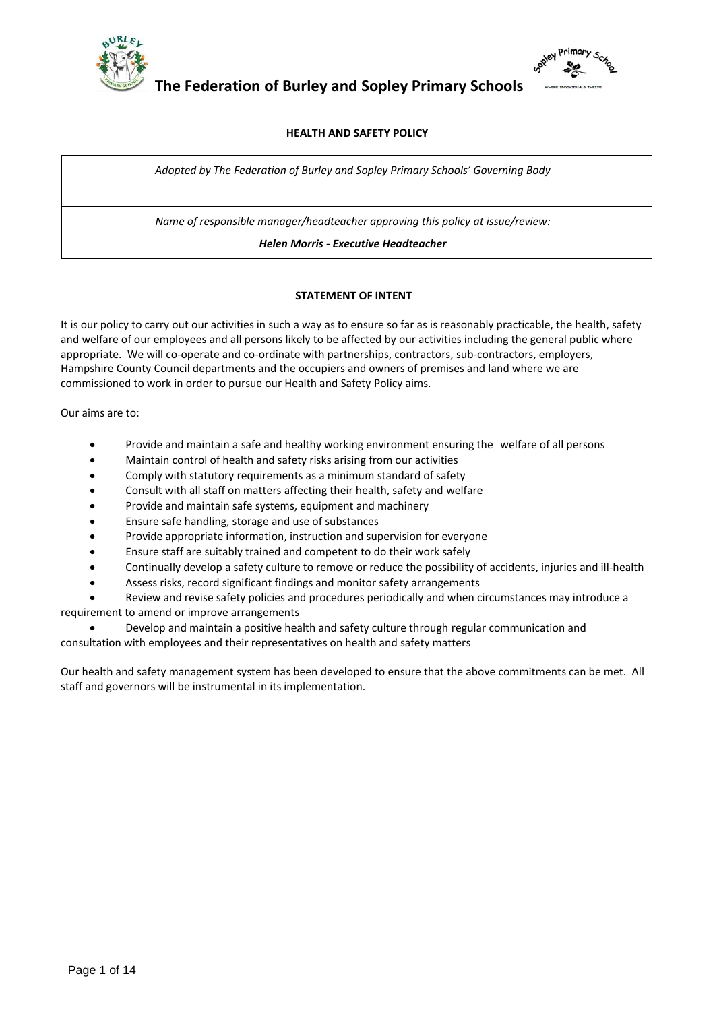



# **HEALTH AND SAFETY POLICY**

*Adopted by The Federation of Burley and Sopley Primary Schools' Governing Body* 

*Name of responsible manager/headteacher approving this policy at issue/review:*

*Helen Morris - Executive Headteacher*

# **STATEMENT OF INTENT**

It is our policy to carry out our activities in such a way as to ensure so far as is reasonably practicable, the health, safety and welfare of our employees and all persons likely to be affected by our activities including the general public where appropriate. We will co-operate and co-ordinate with partnerships, contractors, sub-contractors, employers, Hampshire County Council departments and the occupiers and owners of premises and land where we are commissioned to work in order to pursue our Health and Safety Policy aims.

Our aims are to:

- Provide and maintain a safe and healthy working environment ensuring the welfare of all persons
- Maintain control of health and safety risks arising from our activities
- Comply with statutory requirements as a minimum standard of safety
- Consult with all staff on matters affecting their health, safety and welfare
- Provide and maintain safe systems, equipment and machinery
- Ensure safe handling, storage and use of substances
- Provide appropriate information, instruction and supervision for everyone
- Ensure staff are suitably trained and competent to do their work safely
- Continually develop a safety culture to remove or reduce the possibility of accidents, injuries and ill-health
- Assess risks, record significant findings and monitor safety arrangements

 Review and revise safety policies and procedures periodically and when circumstances may introduce a requirement to amend or improve arrangements

 Develop and maintain a positive health and safety culture through regular communication and consultation with employees and their representatives on health and safety matters

Our health and safety management system has been developed to ensure that the above commitments can be met. All staff and governors will be instrumental in its implementation.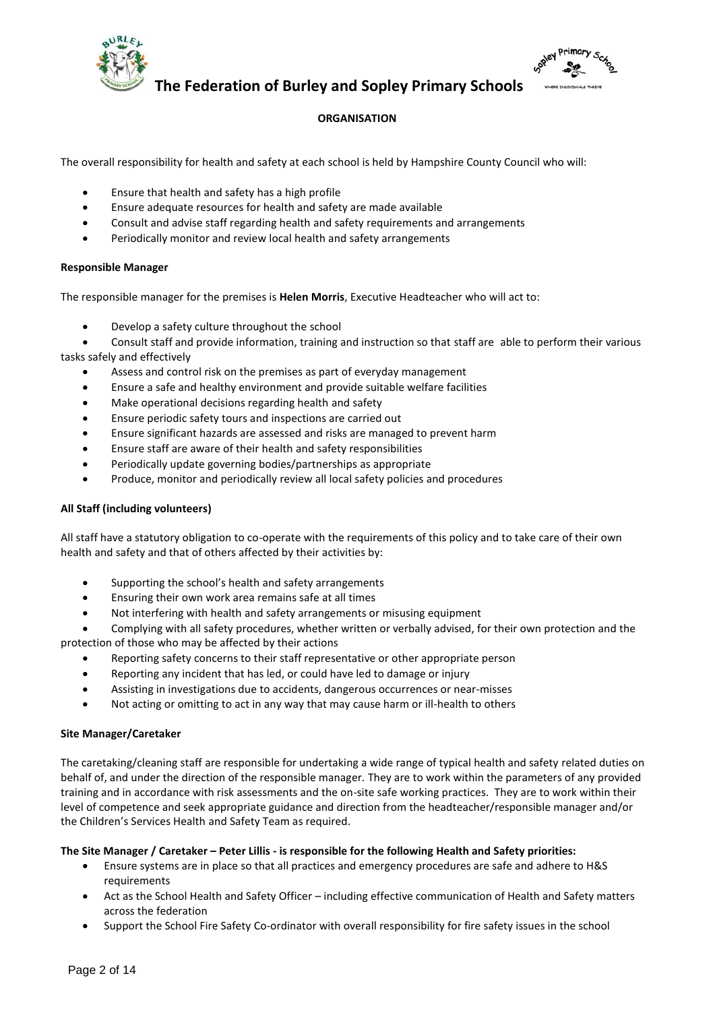



# **ORGANISATION**

The overall responsibility for health and safety at each school is held by Hampshire County Council who will:

- Ensure that health and safety has a high profile
- Ensure adequate resources for health and safety are made available
- Consult and advise staff regarding health and safety requirements and arrangements
- Periodically monitor and review local health and safety arrangements

#### **Responsible Manager**

The responsible manager for the premises is **Helen Morris**, Executive Headteacher who will act to:

- Develop a safety culture throughout the school
- Consult staff and provide information, training and instruction so that staff are able to perform their various tasks safely and effectively
	- Assess and control risk on the premises as part of everyday management
	- Ensure a safe and healthy environment and provide suitable welfare facilities
	- Make operational decisions regarding health and safety
	- Ensure periodic safety tours and inspections are carried out
	- Ensure significant hazards are assessed and risks are managed to prevent harm
	- Ensure staff are aware of their health and safety responsibilities
	- Periodically update governing bodies/partnerships as appropriate
	- Produce, monitor and periodically review all local safety policies and procedures

#### **All Staff (including volunteers)**

All staff have a statutory obligation to co-operate with the requirements of this policy and to take care of their own health and safety and that of others affected by their activities by:

- Supporting the school's health and safety arrangements
- Ensuring their own work area remains safe at all times
- Not interfering with health and safety arrangements or misusing equipment

 Complying with all safety procedures, whether written or verbally advised, for their own protection and the protection of those who may be affected by their actions

- Reporting safety concerns to their staff representative or other appropriate person
- Reporting any incident that has led, or could have led to damage or injury
- Assisting in investigations due to accidents, dangerous occurrences or near-misses
- Not acting or omitting to act in any way that may cause harm or ill-health to others

#### **Site Manager/Caretaker**

The caretaking/cleaning staff are responsible for undertaking a wide range of typical health and safety related duties on behalf of, and under the direction of the responsible manager. They are to work within the parameters of any provided training and in accordance with risk assessments and the on-site safe working practices. They are to work within their level of competence and seek appropriate guidance and direction from the headteacher/responsible manager and/or the Children's Services Health and Safety Team as required.

#### **The Site Manager / Caretaker – Peter Lillis - is responsible for the following Health and Safety priorities:**

- Ensure systems are in place so that all practices and emergency procedures are safe and adhere to H&S requirements
- Act as the School Health and Safety Officer including effective communication of Health and Safety matters across the federation
- Support the School Fire Safety Co-ordinator with overall responsibility for fire safety issues in the school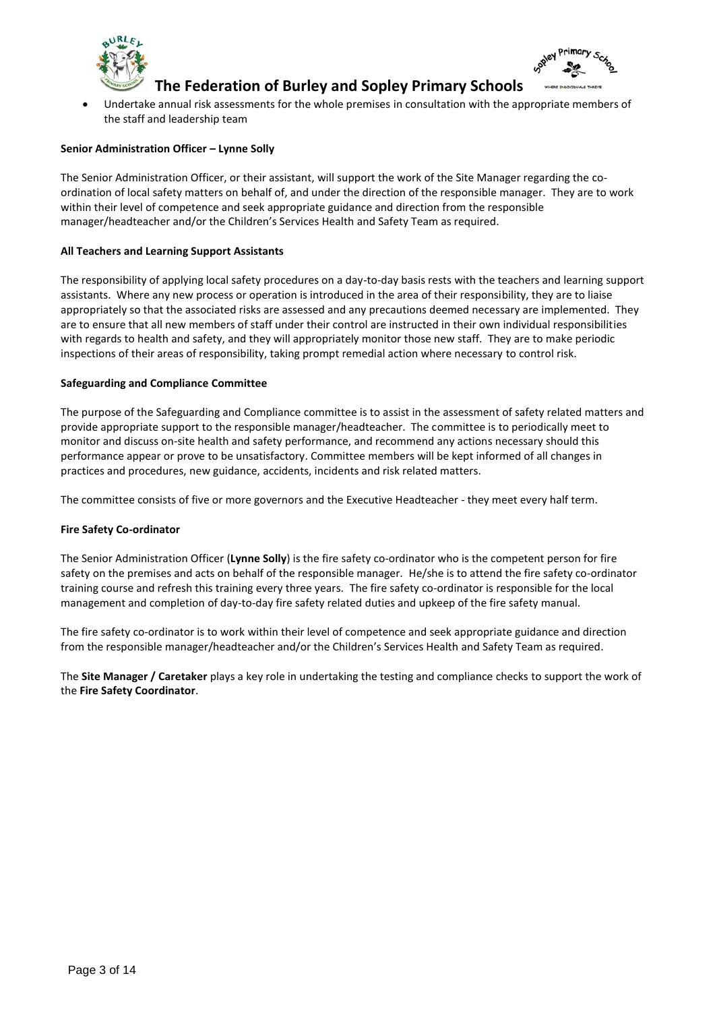



 Undertake annual risk assessments for the whole premises in consultation with the appropriate members of the staff and leadership team

# **Senior Administration Officer – Lynne Solly**

The Senior Administration Officer, or their assistant, will support the work of the Site Manager regarding the coordination of local safety matters on behalf of, and under the direction of the responsible manager. They are to work within their level of competence and seek appropriate guidance and direction from the responsible manager/headteacher and/or the Children's Services Health and Safety Team as required.

# **All Teachers and Learning Support Assistants**

The responsibility of applying local safety procedures on a day-to-day basis rests with the teachers and learning support assistants. Where any new process or operation is introduced in the area of their responsibility, they are to liaise appropriately so that the associated risks are assessed and any precautions deemed necessary are implemented. They are to ensure that all new members of staff under their control are instructed in their own individual responsibilities with regards to health and safety, and they will appropriately monitor those new staff. They are to make periodic inspections of their areas of responsibility, taking prompt remedial action where necessary to control risk.

#### **Safeguarding and Compliance Committee**

The purpose of the Safeguarding and Compliance committee is to assist in the assessment of safety related matters and provide appropriate support to the responsible manager/headteacher. The committee is to periodically meet to monitor and discuss on-site health and safety performance, and recommend any actions necessary should this performance appear or prove to be unsatisfactory. Committee members will be kept informed of all changes in practices and procedures, new guidance, accidents, incidents and risk related matters.

The committee consists of five or more governors and the Executive Headteacher - they meet every half term.

#### **Fire Safety Co-ordinator**

The Senior Administration Officer (**Lynne Solly**) is the fire safety co-ordinator who is the competent person for fire safety on the premises and acts on behalf of the responsible manager. He/she is to attend the fire safety co-ordinator training course and refresh this training every three years. The fire safety co-ordinator is responsible for the local management and completion of day-to-day fire safety related duties and upkeep of the fire safety manual.

The fire safety co-ordinator is to work within their level of competence and seek appropriate guidance and direction from the responsible manager/headteacher and/or the Children's Services Health and Safety Team as required.

The **Site Manager / Caretaker** plays a key role in undertaking the testing and compliance checks to support the work of the **Fire Safety Coordinator**.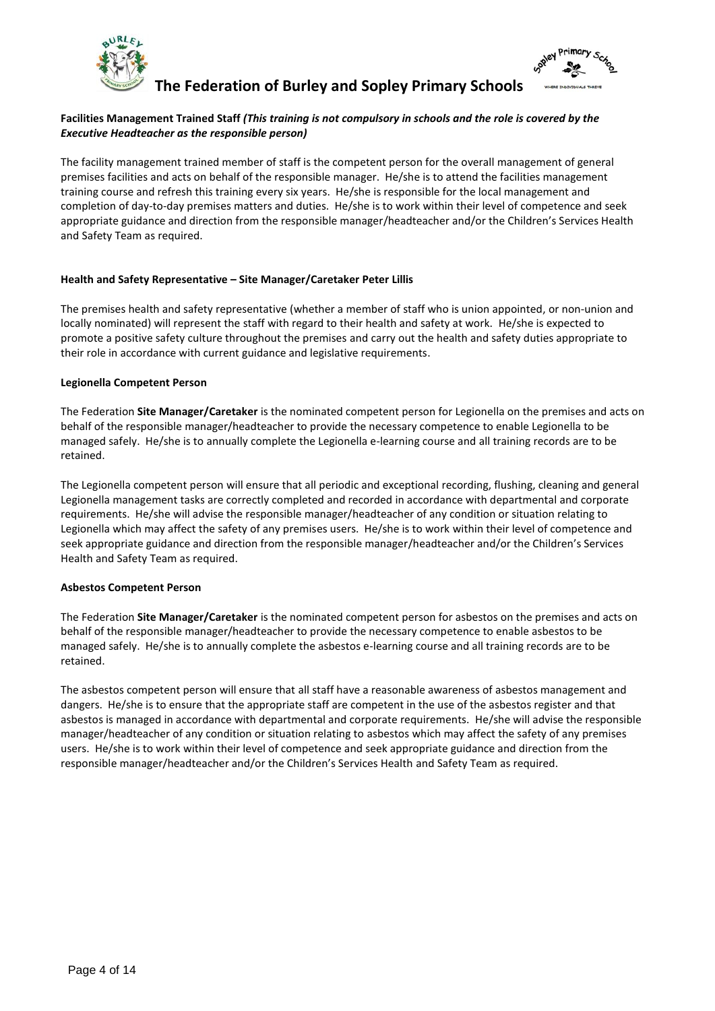



# **Facilities Management Trained Staff** *(This training is not compulsory in schools and the role is covered by the Executive Headteacher as the responsible person)*

The facility management trained member of staff is the competent person for the overall management of general premises facilities and acts on behalf of the responsible manager. He/she is to attend the facilities management training course and refresh this training every six years. He/she is responsible for the local management and completion of day-to-day premises matters and duties. He/she is to work within their level of competence and seek appropriate guidance and direction from the responsible manager/headteacher and/or the Children's Services Health and Safety Team as required.

#### **Health and Safety Representative – Site Manager/Caretaker Peter Lillis**

The premises health and safety representative (whether a member of staff who is union appointed, or non-union and locally nominated) will represent the staff with regard to their health and safety at work. He/she is expected to promote a positive safety culture throughout the premises and carry out the health and safety duties appropriate to their role in accordance with current guidance and legislative requirements.

# **Legionella Competent Person**

The Federation **Site Manager/Caretaker** is the nominated competent person for Legionella on the premises and acts on behalf of the responsible manager/headteacher to provide the necessary competence to enable Legionella to be managed safely. He/she is to annually complete the Legionella e-learning course and all training records are to be retained.

The Legionella competent person will ensure that all periodic and exceptional recording, flushing, cleaning and general Legionella management tasks are correctly completed and recorded in accordance with departmental and corporate requirements. He/she will advise the responsible manager/headteacher of any condition or situation relating to Legionella which may affect the safety of any premises users. He/she is to work within their level of competence and seek appropriate guidance and direction from the responsible manager/headteacher and/or the Children's Services Health and Safety Team as required.

# **Asbestos Competent Person**

The Federation **Site Manager/Caretaker** is the nominated competent person for asbestos on the premises and acts on behalf of the responsible manager/headteacher to provide the necessary competence to enable asbestos to be managed safely. He/she is to annually complete the asbestos e-learning course and all training records are to be retained.

The asbestos competent person will ensure that all staff have a reasonable awareness of asbestos management and dangers. He/she is to ensure that the appropriate staff are competent in the use of the asbestos register and that asbestos is managed in accordance with departmental and corporate requirements. He/she will advise the responsible manager/headteacher of any condition or situation relating to asbestos which may affect the safety of any premises users. He/she is to work within their level of competence and seek appropriate guidance and direction from the responsible manager/headteacher and/or the Children's Services Health and Safety Team as required.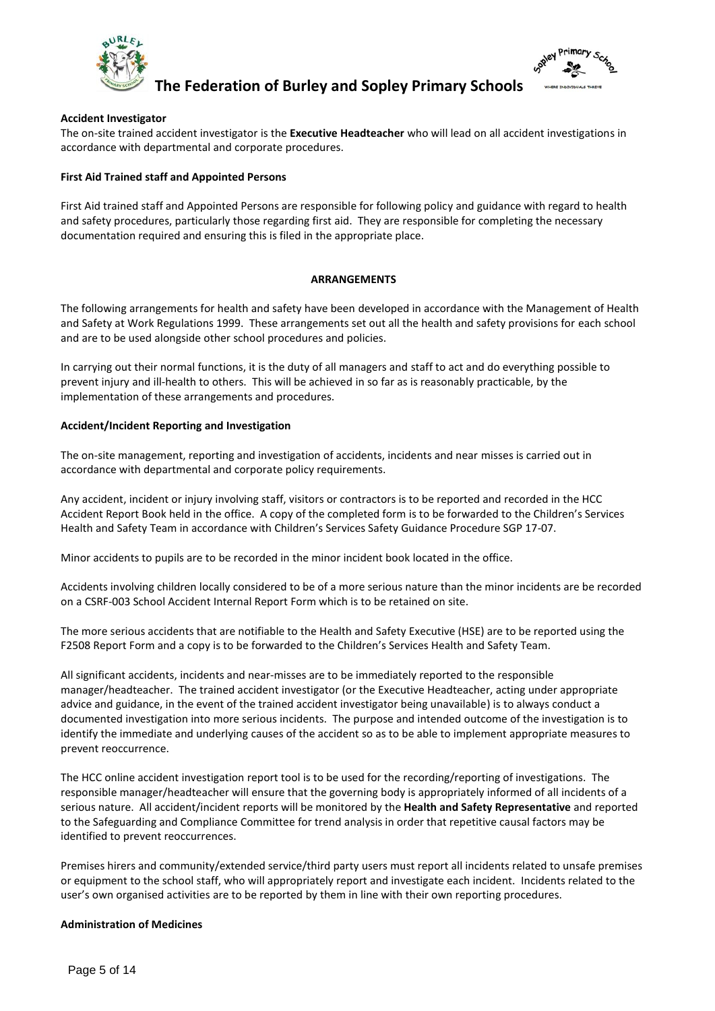



## **Accident Investigator**

The on-site trained accident investigator is the **Executive Headteacher** who will lead on all accident investigations in accordance with departmental and corporate procedures.

### **First Aid Trained staff and Appointed Persons**

First Aid trained staff and Appointed Persons are responsible for following policy and guidance with regard to health and safety procedures, particularly those regarding first aid. They are responsible for completing the necessary documentation required and ensuring this is filed in the appropriate place.

#### **ARRANGEMENTS**

The following arrangements for health and safety have been developed in accordance with the Management of Health and Safety at Work Regulations 1999. These arrangements set out all the health and safety provisions for each school and are to be used alongside other school procedures and policies.

In carrying out their normal functions, it is the duty of all managers and staff to act and do everything possible to prevent injury and ill-health to others. This will be achieved in so far as is reasonably practicable, by the implementation of these arrangements and procedures.

# **Accident/Incident Reporting and Investigation**

The on-site management, reporting and investigation of accidents, incidents and near misses is carried out in accordance with departmental and corporate policy requirements.

Any accident, incident or injury involving staff, visitors or contractors is to be reported and recorded in the HCC Accident Report Book held in the office. A copy of the completed form is to be forwarded to the Children's Services Health and Safety Team in accordance with Children's Services Safety Guidance Procedure SGP 17-07.

Minor accidents to pupils are to be recorded in the minor incident book located in the office.

Accidents involving children locally considered to be of a more serious nature than the minor incidents are be recorded on a CSRF-003 School Accident Internal Report Form which is to be retained on site.

The more serious accidents that are notifiable to the Health and Safety Executive (HSE) are to be reported using the F2508 Report Form and a copy is to be forwarded to the Children's Services Health and Safety Team.

All significant accidents, incidents and near-misses are to be immediately reported to the responsible manager/headteacher. The trained accident investigator (or the Executive Headteacher, acting under appropriate advice and guidance, in the event of the trained accident investigator being unavailable) is to always conduct a documented investigation into more serious incidents. The purpose and intended outcome of the investigation is to identify the immediate and underlying causes of the accident so as to be able to implement appropriate measures to prevent reoccurrence.

The HCC online accident investigation report tool is to be used for the recording/reporting of investigations. The responsible manager/headteacher will ensure that the governing body is appropriately informed of all incidents of a serious nature. All accident/incident reports will be monitored by the **Health and Safety Representative** and reported to the Safeguarding and Compliance Committee for trend analysis in order that repetitive causal factors may be identified to prevent reoccurrences.

Premises hirers and community/extended service/third party users must report all incidents related to unsafe premises or equipment to the school staff, who will appropriately report and investigate each incident. Incidents related to the user's own organised activities are to be reported by them in line with their own reporting procedures.

#### **Administration of Medicines**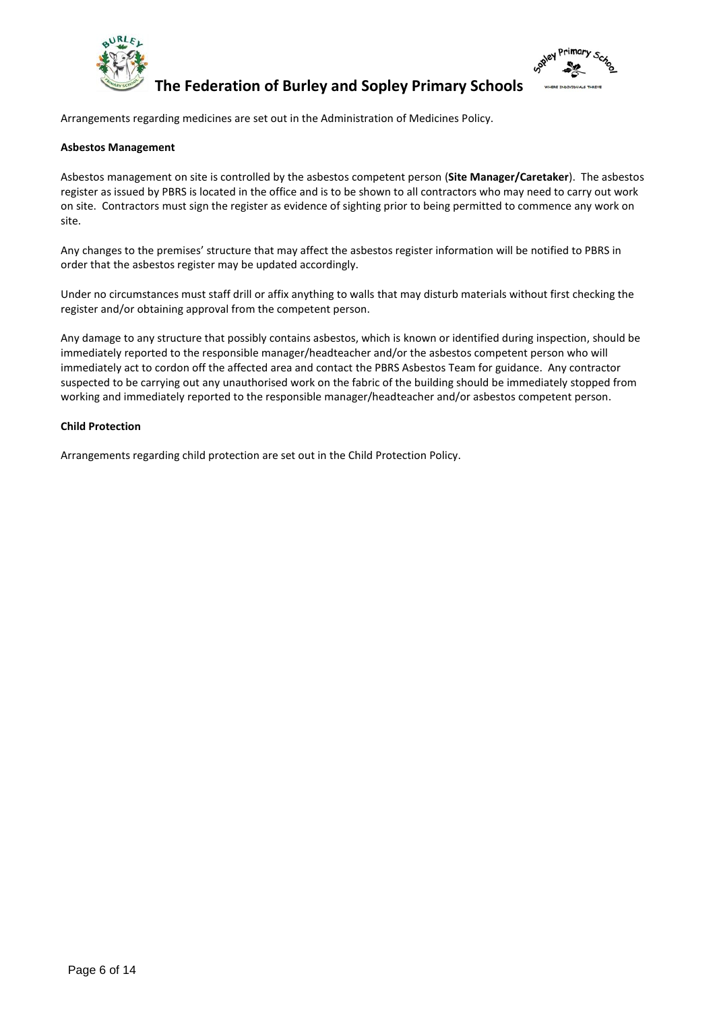



Arrangements regarding medicines are set out in the Administration of Medicines Policy.

# **Asbestos Management**

Asbestos management on site is controlled by the asbestos competent person (**Site Manager/Caretaker**). The asbestos register as issued by PBRS is located in the office and is to be shown to all contractors who may need to carry out work on site. Contractors must sign the register as evidence of sighting prior to being permitted to commence any work on site.

Any changes to the premises' structure that may affect the asbestos register information will be notified to PBRS in order that the asbestos register may be updated accordingly.

Under no circumstances must staff drill or affix anything to walls that may disturb materials without first checking the register and/or obtaining approval from the competent person.

Any damage to any structure that possibly contains asbestos, which is known or identified during inspection, should be immediately reported to the responsible manager/headteacher and/or the asbestos competent person who will immediately act to cordon off the affected area and contact the PBRS Asbestos Team for guidance. Any contractor suspected to be carrying out any unauthorised work on the fabric of the building should be immediately stopped from working and immediately reported to the responsible manager/headteacher and/or asbestos competent person.

# **Child Protection**

Arrangements regarding child protection are set out in the Child Protection Policy.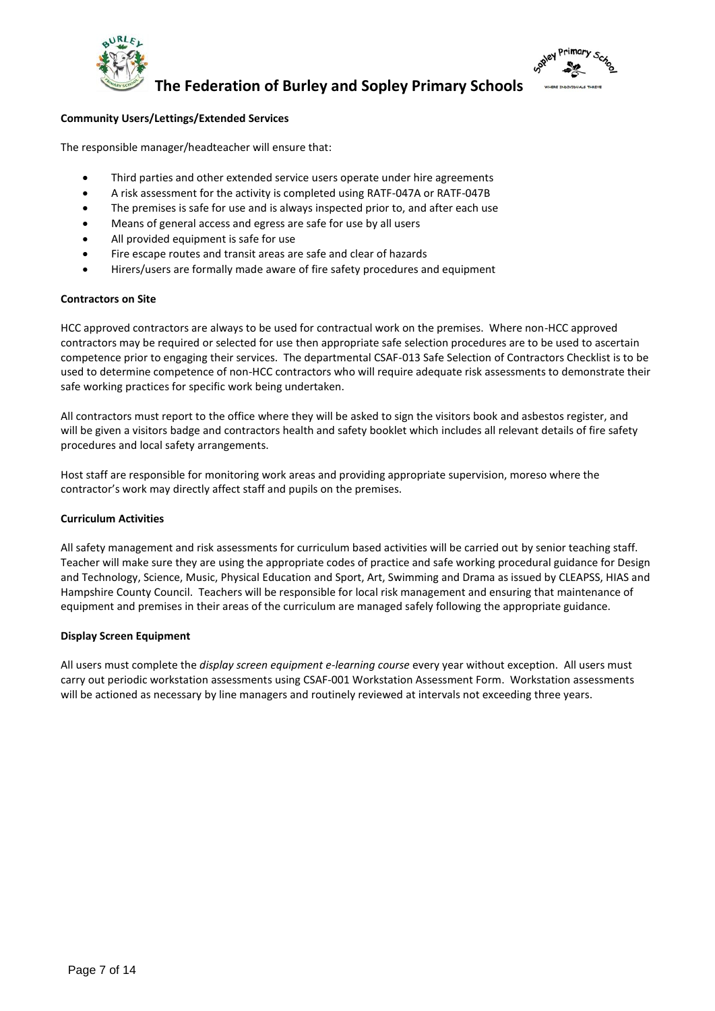



# **Community Users/Lettings/Extended Services**

The responsible manager/headteacher will ensure that:

- Third parties and other extended service users operate under hire agreements
- A risk assessment for the activity is completed using RATF-047A or RATF-047B
- The premises is safe for use and is always inspected prior to, and after each use
- Means of general access and egress are safe for use by all users
- All provided equipment is safe for use
- Fire escape routes and transit areas are safe and clear of hazards
- Hirers/users are formally made aware of fire safety procedures and equipment

# **Contractors on Site**

HCC approved contractors are always to be used for contractual work on the premises. Where non-HCC approved contractors may be required or selected for use then appropriate safe selection procedures are to be used to ascertain competence prior to engaging their services. The departmental CSAF-013 Safe Selection of Contractors Checklist is to be used to determine competence of non-HCC contractors who will require adequate risk assessments to demonstrate their safe working practices for specific work being undertaken.

All contractors must report to the office where they will be asked to sign the visitors book and asbestos register, and will be given a visitors badge and contractors health and safety booklet which includes all relevant details of fire safety procedures and local safety arrangements.

Host staff are responsible for monitoring work areas and providing appropriate supervision, moreso where the contractor's work may directly affect staff and pupils on the premises.

# **Curriculum Activities**

All safety management and risk assessments for curriculum based activities will be carried out by senior teaching staff. Teacher will make sure they are using the appropriate codes of practice and safe working procedural guidance for Design and Technology, Science, Music, Physical Education and Sport, Art, Swimming and Drama as issued by CLEAPSS, HIAS and Hampshire County Council. Teachers will be responsible for local risk management and ensuring that maintenance of equipment and premises in their areas of the curriculum are managed safely following the appropriate guidance.

# **Display Screen Equipment**

All users must complete the *display screen equipment e-learning course* every year without exception. All users must carry out periodic workstation assessments using CSAF-001 Workstation Assessment Form. Workstation assessments will be actioned as necessary by line managers and routinely reviewed at intervals not exceeding three years.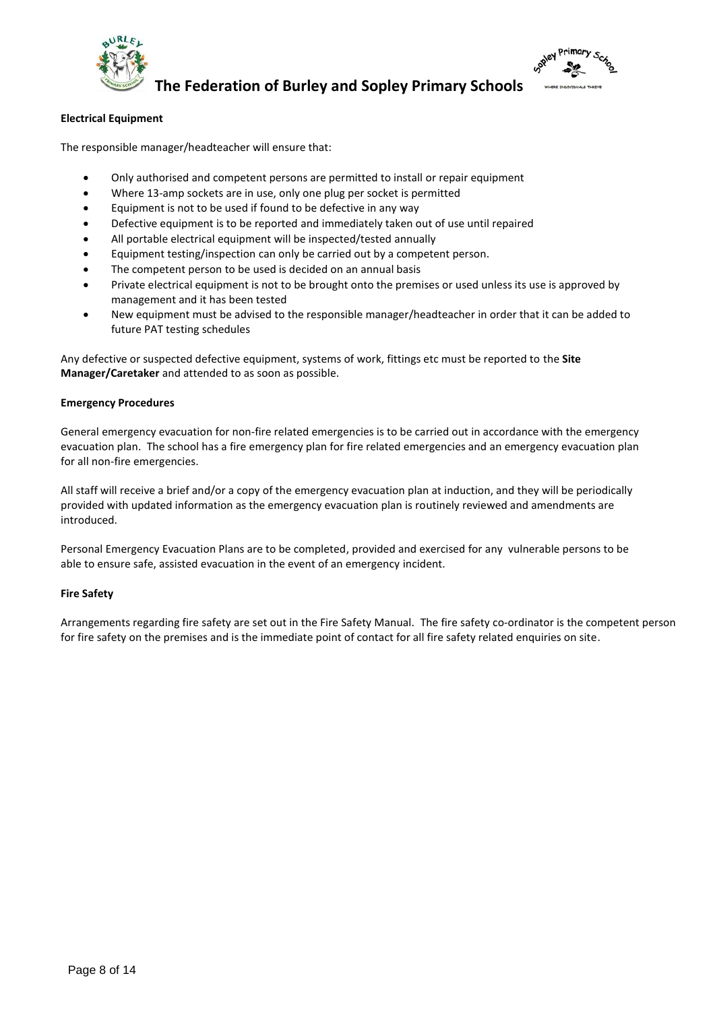



# **Electrical Equipment**

The responsible manager/headteacher will ensure that:

- Only authorised and competent persons are permitted to install or repair equipment
- Where 13-amp sockets are in use, only one plug per socket is permitted
- Equipment is not to be used if found to be defective in any way
- Defective equipment is to be reported and immediately taken out of use until repaired
- All portable electrical equipment will be inspected/tested annually
- Equipment testing/inspection can only be carried out by a competent person.
- The competent person to be used is decided on an annual basis
- Private electrical equipment is not to be brought onto the premises or used unless its use is approved by management and it has been tested
- New equipment must be advised to the responsible manager/headteacher in order that it can be added to future PAT testing schedules

Any defective or suspected defective equipment, systems of work, fittings etc must be reported to the **Site Manager/Caretaker** and attended to as soon as possible.

#### **Emergency Procedures**

General emergency evacuation for non-fire related emergencies is to be carried out in accordance with the emergency evacuation plan. The school has a fire emergency plan for fire related emergencies and an emergency evacuation plan for all non-fire emergencies.

All staff will receive a brief and/or a copy of the emergency evacuation plan at induction, and they will be periodically provided with updated information as the emergency evacuation plan is routinely reviewed and amendments are introduced.

Personal Emergency Evacuation Plans are to be completed, provided and exercised for any vulnerable persons to be able to ensure safe, assisted evacuation in the event of an emergency incident.

#### **Fire Safety**

Arrangements regarding fire safety are set out in the Fire Safety Manual. The fire safety co-ordinator is the competent person for fire safety on the premises and is the immediate point of contact for all fire safety related enquiries on site.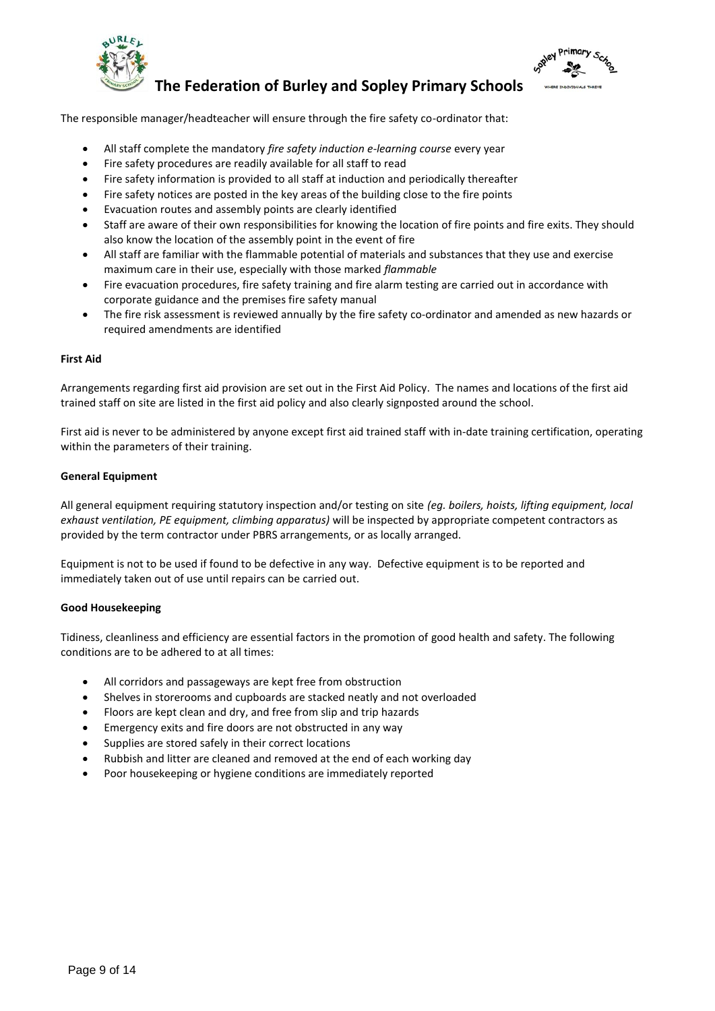



The responsible manager/headteacher will ensure through the fire safety co-ordinator that:

- All staff complete the mandatory *fire safety induction e-learning course* every year
- Fire safety procedures are readily available for all staff to read
- Fire safety information is provided to all staff at induction and periodically thereafter
- Fire safety notices are posted in the key areas of the building close to the fire points
- Evacuation routes and assembly points are clearly identified
- Staff are aware of their own responsibilities for knowing the location of fire points and fire exits. They should also know the location of the assembly point in the event of fire
- All staff are familiar with the flammable potential of materials and substances that they use and exercise maximum care in their use, especially with those marked *flammable*
- Fire evacuation procedures, fire safety training and fire alarm testing are carried out in accordance with corporate guidance and the premises fire safety manual
- The fire risk assessment is reviewed annually by the fire safety co-ordinator and amended as new hazards or required amendments are identified

#### **First Aid**

Arrangements regarding first aid provision are set out in the First Aid Policy. The names and locations of the first aid trained staff on site are listed in the first aid policy and also clearly signposted around the school.

First aid is never to be administered by anyone except first aid trained staff with in-date training certification, operating within the parameters of their training.

#### **General Equipment**

All general equipment requiring statutory inspection and/or testing on site *(eg. boilers, hoists, lifting equipment, local exhaust ventilation, PE equipment, climbing apparatus)* will be inspected by appropriate competent contractors as provided by the term contractor under PBRS arrangements, or as locally arranged.

Equipment is not to be used if found to be defective in any way. Defective equipment is to be reported and immediately taken out of use until repairs can be carried out.

#### **Good Housekeeping**

Tidiness, cleanliness and efficiency are essential factors in the promotion of good health and safety. The following conditions are to be adhered to at all times:

- All corridors and passageways are kept free from obstruction
- Shelves in storerooms and cupboards are stacked neatly and not overloaded
- Floors are kept clean and dry, and free from slip and trip hazards
- Emergency exits and fire doors are not obstructed in any way
- Supplies are stored safely in their correct locations
- Rubbish and litter are cleaned and removed at the end of each working day
- Poor housekeeping or hygiene conditions are immediately reported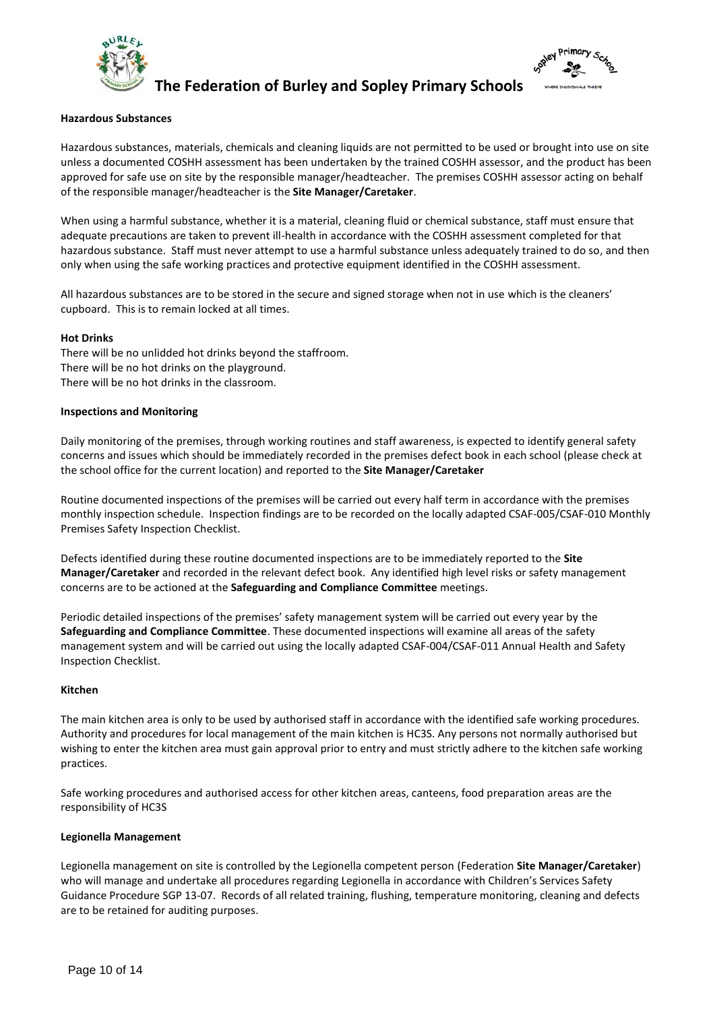



#### **Hazardous Substances**

Hazardous substances, materials, chemicals and cleaning liquids are not permitted to be used or brought into use on site unless a documented COSHH assessment has been undertaken by the trained COSHH assessor, and the product has been approved for safe use on site by the responsible manager/headteacher. The premises COSHH assessor acting on behalf of the responsible manager/headteacher is the **Site Manager/Caretaker**.

When using a harmful substance, whether it is a material, cleaning fluid or chemical substance, staff must ensure that adequate precautions are taken to prevent ill-health in accordance with the COSHH assessment completed for that hazardous substance. Staff must never attempt to use a harmful substance unless adequately trained to do so, and then only when using the safe working practices and protective equipment identified in the COSHH assessment.

All hazardous substances are to be stored in the secure and signed storage when not in use which is the cleaners' cupboard. This is to remain locked at all times.

#### **Hot Drinks**

There will be no unlidded hot drinks beyond the staffroom. There will be no hot drinks on the playground. There will be no hot drinks in the classroom.

#### **Inspections and Monitoring**

Daily monitoring of the premises, through working routines and staff awareness, is expected to identify general safety concerns and issues which should be immediately recorded in the premises defect book in each school (please check at the school office for the current location) and reported to the **Site Manager/Caretaker**

Routine documented inspections of the premises will be carried out every half term in accordance with the premises monthly inspection schedule. Inspection findings are to be recorded on the locally adapted CSAF-005/CSAF-010 Monthly Premises Safety Inspection Checklist.

Defects identified during these routine documented inspections are to be immediately reported to the **Site Manager/Caretaker** and recorded in the relevant defect book. Any identified high level risks or safety management concerns are to be actioned at the **Safeguarding and Compliance Committee** meetings.

Periodic detailed inspections of the premises' safety management system will be carried out every year by the **Safeguarding and Compliance Committee**. These documented inspections will examine all areas of the safety management system and will be carried out using the locally adapted CSAF-004/CSAF-011 Annual Health and Safety Inspection Checklist.

#### **Kitchen**

The main kitchen area is only to be used by authorised staff in accordance with the identified safe working procedures. Authority and procedures for local management of the main kitchen is HC3S. Any persons not normally authorised but wishing to enter the kitchen area must gain approval prior to entry and must strictly adhere to the kitchen safe working practices.

Safe working procedures and authorised access for other kitchen areas, canteens, food preparation areas are the responsibility of HC3S

#### **Legionella Management**

Legionella management on site is controlled by the Legionella competent person (Federation **Site Manager/Caretaker**) who will manage and undertake all procedures regarding Legionella in accordance with Children's Services Safety Guidance Procedure SGP 13-07. Records of all related training, flushing, temperature monitoring, cleaning and defects are to be retained for auditing purposes.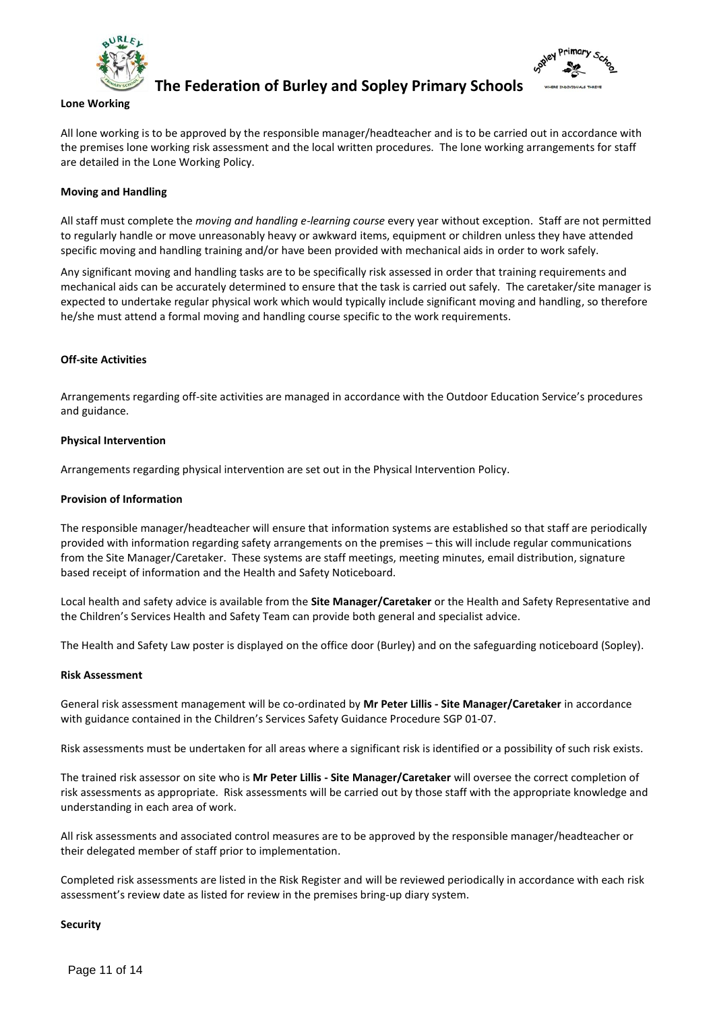



#### **Lone Working**

All lone working is to be approved by the responsible manager/headteacher and is to be carried out in accordance with the premises lone working risk assessment and the local written procedures. The lone working arrangements for staff are detailed in the Lone Working Policy.

### **Moving and Handling**

All staff must complete the *moving and handling e-learning course* every year without exception. Staff are not permitted to regularly handle or move unreasonably heavy or awkward items, equipment or children unless they have attended specific moving and handling training and/or have been provided with mechanical aids in order to work safely.

Any significant moving and handling tasks are to be specifically risk assessed in order that training requirements and mechanical aids can be accurately determined to ensure that the task is carried out safely. The caretaker/site manager is expected to undertake regular physical work which would typically include significant moving and handling, so therefore he/she must attend a formal moving and handling course specific to the work requirements.

# **Off-site Activities**

Arrangements regarding off-site activities are managed in accordance with the Outdoor Education Service's procedures and guidance.

# **Physical Intervention**

Arrangements regarding physical intervention are set out in the Physical Intervention Policy.

#### **Provision of Information**

The responsible manager/headteacher will ensure that information systems are established so that staff are periodically provided with information regarding safety arrangements on the premises – this will include regular communications from the Site Manager/Caretaker. These systems are staff meetings, meeting minutes, email distribution, signature based receipt of information and the Health and Safety Noticeboard.

Local health and safety advice is available from the **Site Manager/Caretaker** or the Health and Safety Representative and the Children's Services Health and Safety Team can provide both general and specialist advice.

The Health and Safety Law poster is displayed on the office door (Burley) and on the safeguarding noticeboard (Sopley).

#### **Risk Assessment**

General risk assessment management will be co-ordinated by **Mr Peter Lillis - Site Manager/Caretaker** in accordance with guidance contained in the Children's Services Safety Guidance Procedure SGP 01-07.

Risk assessments must be undertaken for all areas where a significant risk is identified or a possibility of such risk exists.

The trained risk assessor on site who is **Mr Peter Lillis - Site Manager/Caretaker** will oversee the correct completion of risk assessments as appropriate. Risk assessments will be carried out by those staff with the appropriate knowledge and understanding in each area of work.

All risk assessments and associated control measures are to be approved by the responsible manager/headteacher or their delegated member of staff prior to implementation.

Completed risk assessments are listed in the Risk Register and will be reviewed periodically in accordance with each risk assessment's review date as listed for review in the premises bring-up diary system.

#### **Security**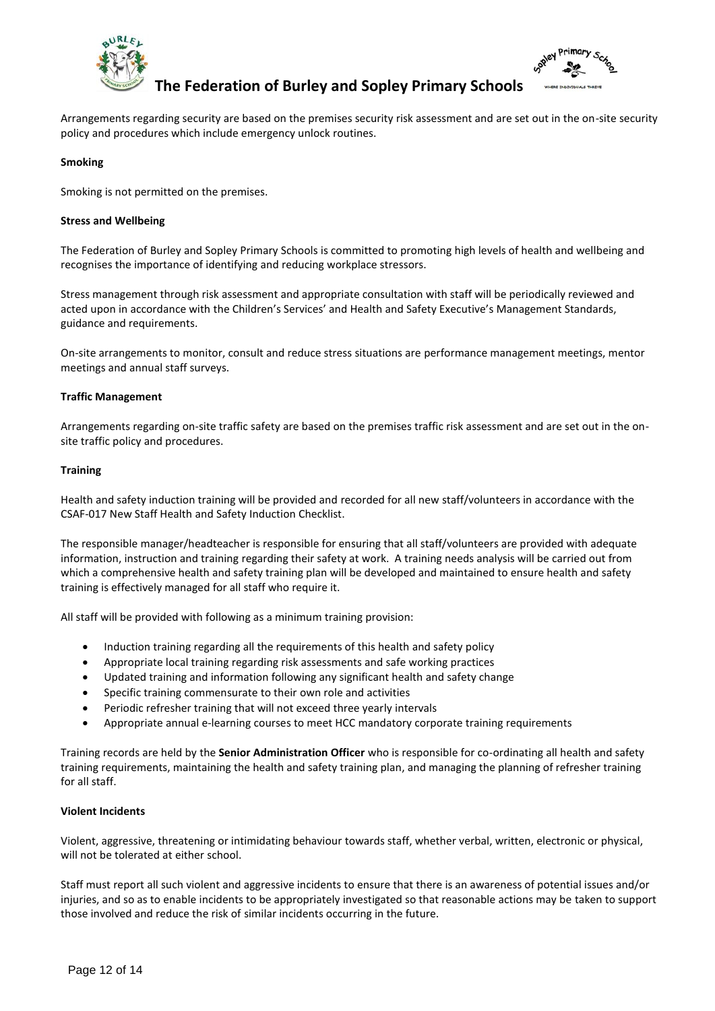



Arrangements regarding security are based on the premises security risk assessment and are set out in the on-site security policy and procedures which include emergency unlock routines.

### **Smoking**

Smoking is not permitted on the premises.

#### **Stress and Wellbeing**

The Federation of Burley and Sopley Primary Schools is committed to promoting high levels of health and wellbeing and recognises the importance of identifying and reducing workplace stressors.

Stress management through risk assessment and appropriate consultation with staff will be periodically reviewed and acted upon in accordance with the Children's Services' and Health and Safety Executive's Management Standards, guidance and requirements.

On-site arrangements to monitor, consult and reduce stress situations are performance management meetings, mentor meetings and annual staff surveys.

#### **Traffic Management**

Arrangements regarding on-site traffic safety are based on the premises traffic risk assessment and are set out in the onsite traffic policy and procedures.

#### **Training**

Health and safety induction training will be provided and recorded for all new staff/volunteers in accordance with the CSAF-017 New Staff Health and Safety Induction Checklist.

The responsible manager/headteacher is responsible for ensuring that all staff/volunteers are provided with adequate information, instruction and training regarding their safety at work. A training needs analysis will be carried out from which a comprehensive health and safety training plan will be developed and maintained to ensure health and safety training is effectively managed for all staff who require it.

All staff will be provided with following as a minimum training provision:

- Induction training regarding all the requirements of this health and safety policy
- Appropriate local training regarding risk assessments and safe working practices
- Updated training and information following any significant health and safety change
- Specific training commensurate to their own role and activities
- Periodic refresher training that will not exceed three yearly intervals
- Appropriate annual e-learning courses to meet HCC mandatory corporate training requirements

Training records are held by the **Senior Administration Officer** who is responsible for co-ordinating all health and safety training requirements, maintaining the health and safety training plan, and managing the planning of refresher training for all staff.

#### **Violent Incidents**

Violent, aggressive, threatening or intimidating behaviour towards staff, whether verbal, written, electronic or physical, will not be tolerated at either school.

Staff must report all such violent and aggressive incidents to ensure that there is an awareness of potential issues and/or injuries, and so as to enable incidents to be appropriately investigated so that reasonable actions may be taken to support those involved and reduce the risk of similar incidents occurring in the future.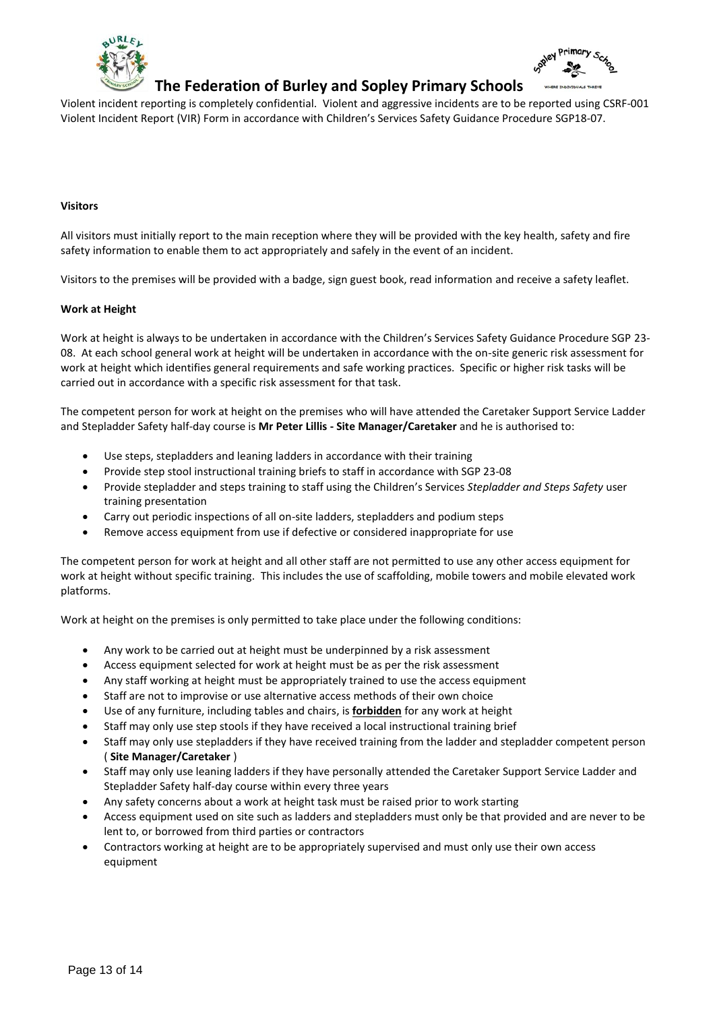



Violent incident reporting is completely confidential. Violent and aggressive incidents are to be reported using CSRF-001 Violent Incident Report (VIR) Form in accordance with Children's Services Safety Guidance Procedure SGP18-07.

#### **Visitors**

All visitors must initially report to the main reception where they will be provided with the key health, safety and fire safety information to enable them to act appropriately and safely in the event of an incident.

Visitors to the premises will be provided with a badge, sign guest book, read information and receive a safety leaflet.

#### **Work at Height**

Work at height is always to be undertaken in accordance with the Children's Services Safety Guidance Procedure SGP 23- 08. At each school general work at height will be undertaken in accordance with the on-site generic risk assessment for work at height which identifies general requirements and safe working practices. Specific or higher risk tasks will be carried out in accordance with a specific risk assessment for that task.

The competent person for work at height on the premises who will have attended the Caretaker Support Service Ladder and Stepladder Safety half-day course is **Mr Peter Lillis - Site Manager/Caretaker** and he is authorised to:

- Use steps, stepladders and leaning ladders in accordance with their training
- Provide step stool instructional training briefs to staff in accordance with SGP 23-08
- Provide stepladder and steps training to staff using the Children's Services *Stepladder and Steps Safety* user training presentation
- Carry out periodic inspections of all on-site ladders, stepladders and podium steps
- Remove access equipment from use if defective or considered inappropriate for use

The competent person for work at height and all other staff are not permitted to use any other access equipment for work at height without specific training. This includes the use of scaffolding, mobile towers and mobile elevated work platforms.

Work at height on the premises is only permitted to take place under the following conditions:

- Any work to be carried out at height must be underpinned by a risk assessment
- Access equipment selected for work at height must be as per the risk assessment
- Any staff working at height must be appropriately trained to use the access equipment
- Staff are not to improvise or use alternative access methods of their own choice
- Use of any furniture, including tables and chairs, is **forbidden** for any work at height
- Staff may only use step stools if they have received a local instructional training brief
- Staff may only use stepladders if they have received training from the ladder and stepladder competent person ( **Site Manager/Caretaker** )
- Staff may only use leaning ladders if they have personally attended the Caretaker Support Service Ladder and Stepladder Safety half-day course within every three years
- Any safety concerns about a work at height task must be raised prior to work starting
- Access equipment used on site such as ladders and stepladders must only be that provided and are never to be lent to, or borrowed from third parties or contractors
- Contractors working at height are to be appropriately supervised and must only use their own access equipment